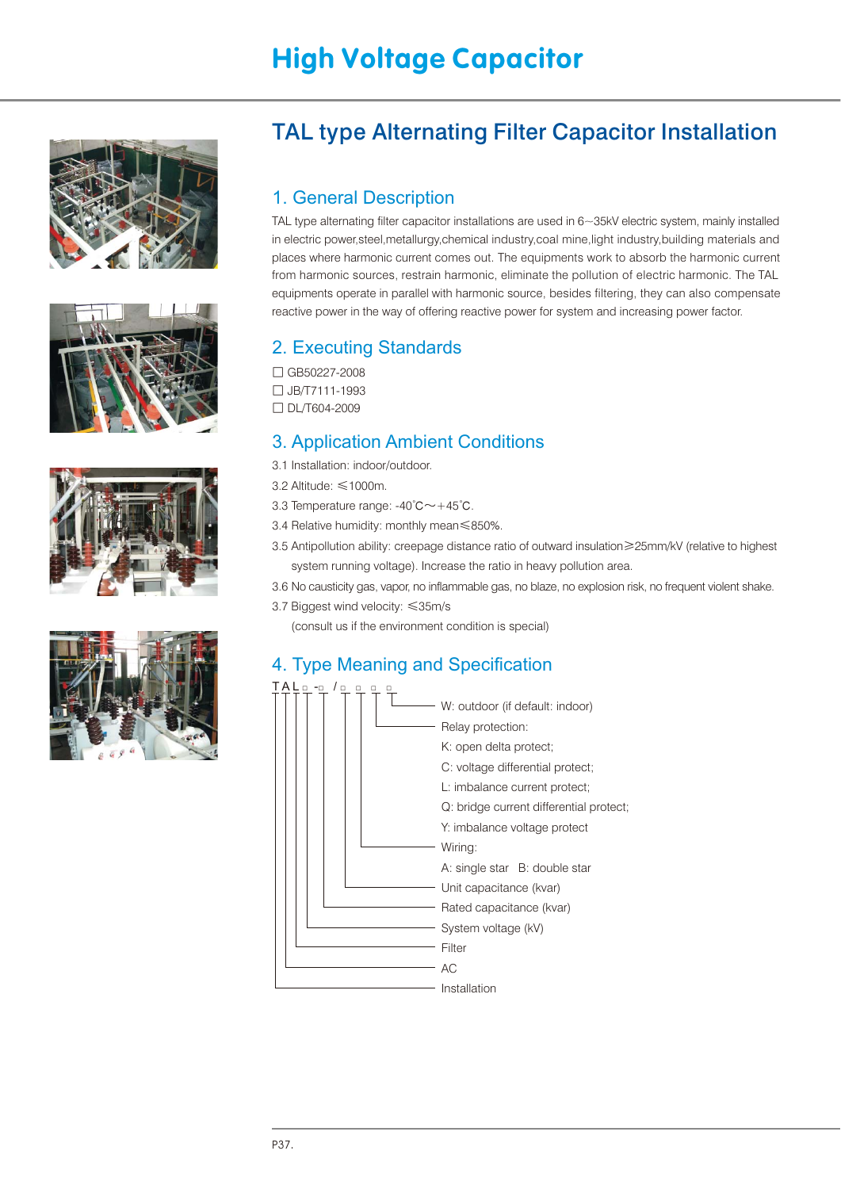# High Voltage Capacitor









## TAL type Alternating Filter Capacitor Installation

#### 1. General Description

in electric power,steel,metallurgy,chemical industry,coal mine,light industry,building materials and places where harmonic current comes out. The equipments work to absorb the harmonic current from harmonic sources, restrain harmonic, eliminate the pollution of electric harmonic. The TAL equipments operate in parallel with harmonic source, besides filtering, they can also compensate reactive power in the way of offering reactive power for system and increasing power factor. TAL type alternating filter capacitor installations are used in 6~35kV electric system, mainly installed

### 2. Executing Standards

- □ GB50227-2008
- □ JB/T7111-1993
- □ DL/T604-2009

#### 3. Application Ambient Conditions

- 3.1 Installation: indoor/outdoor.
- 3.2 Altitude: ≤1000m.
- 3.3 Temperature range: -40℃~+45℃.
- 3.4 Relative humidity: monthly mean≤850%.
- 3.5 Antipollution ability: creepage distance ratio of outward insulation≥25mm/kV (relative to highest system running voltage). Increase the ratio in heavy pollution area.
- 3.6 No causticity gas, vapor, no inflammable gas, no blaze, no explosion risk, no frequent violent shake.
- 3.7 Biggest wind velocity: ≤35m/s

(consult us if the environment condition is special)

#### 4. Type Meaning and Specification